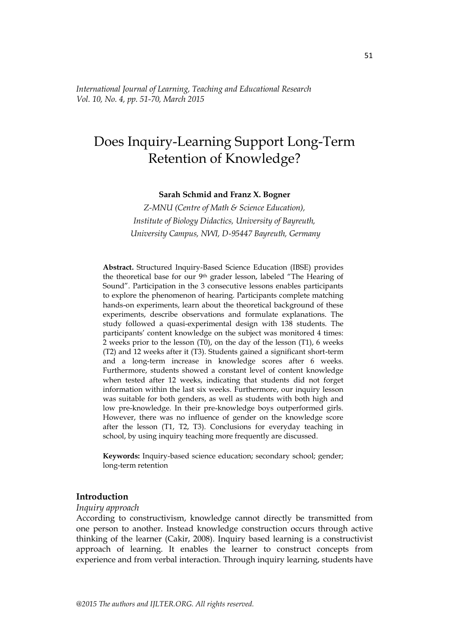*International Journal of Learning, Teaching and Educational Research Vol. 10, No. 4, pp. 51-70, March 2015*

# Does Inquiry-Learning Support Long-Term Retention of Knowledge?

**Sarah Schmid and Franz X. Bogner**

*Z-MNU (Centre of Math & Science Education), Institute of Biology Didactics, University of Bayreuth, University Campus, NWI, D-95447 Bayreuth, Germany*

**Abstract.** Structured Inquiry-Based Science Education (IBSE) provides the theoretical base for our 9<sup>th</sup> grader lesson, labeled "The Hearing of Sound". Participation in the 3 consecutive lessons enables participants to explore the phenomenon of hearing. Participants complete matching hands-on experiments, learn about the theoretical background of these experiments, describe observations and formulate explanations. The study followed a quasi-experimental design with 138 students. The participants' content knowledge on the subject was monitored 4 times: 2 weeks prior to the lesson (T0), on the day of the lesson (T1), 6 weeks (T2) and 12 weeks after it (T3). Students gained a significant short-term and a long-term increase in knowledge scores after 6 weeks. Furthermore, students showed a constant level of content knowledge when tested after 12 weeks, indicating that students did not forget information within the last six weeks. Furthermore, our inquiry lesson was suitable for both genders, as well as students with both high and low pre-knowledge. In their pre-knowledge boys outperformed girls. However, there was no influence of gender on the knowledge score after the lesson (T1, T2, T3). Conclusions for everyday teaching in school, by using inquiry teaching more frequently are discussed.

**Keywords:** Inquiry-based science education; secondary school; gender; long-term retention

# **Introduction**

#### *Inquiry approach*

According to constructivism, knowledge cannot directly be transmitted from one person to another. Instead knowledge construction occurs through active thinking of the learner (Cakir, 2008). Inquiry based learning is a constructivist approach of learning. It enables the learner to construct concepts from experience and from verbal interaction. Through inquiry learning, students have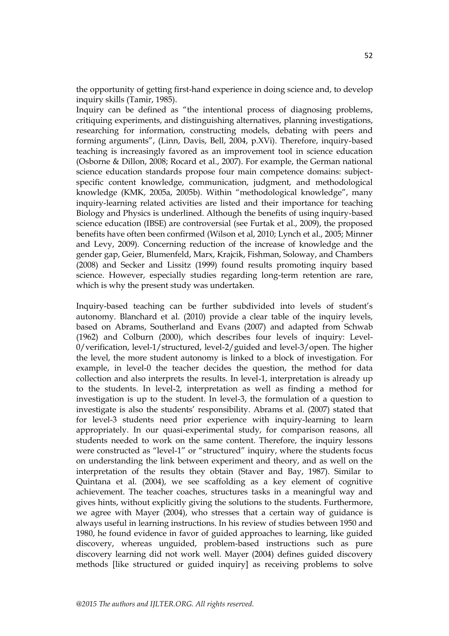the opportunity of getting first-hand experience in doing science and, to develop inquiry skills (Tamir, 1985).

Inquiry can be defined as "the intentional process of diagnosing problems, critiquing experiments, and distinguishing alternatives, planning investigations, researching for information, constructing models, debating with peers and forming arguments", (Linn, Davis, Bell, 2004, p.XVi). Therefore, inquiry-based teaching is increasingly favored as an improvement tool in science education (Osborne & Dillon, 2008; Rocard et al., 2007). For example, the German national science education standards propose four main competence domains: subjectspecific content knowledge, communication, judgment, and methodological knowledge (KMK, 2005a, 2005b). Within "methodological knowledge", many inquiry-learning related activities are listed and their importance for teaching Biology and Physics is underlined. Although the benefits of using inquiry-based science education (IBSE) are controversial (see Furtak et al., 2009), the proposed benefits have often been confirmed (Wilson et al, 2010; Lynch et al., 2005; Minner and Levy, 2009). Concerning reduction of the increase of knowledge and the gender gap, Geier, Blumenfeld, Marx, Krajcik, Fishman, Soloway, and Chambers (2008) and Secker and Lissitz (1999) found results promoting inquiry based science. However, especially studies regarding long-term retention are rare, which is why the present study was undertaken.

Inquiry-based teaching can be further subdivided into levels of student's autonomy. Blanchard et al. (2010) provide a clear table of the inquiry levels, based on Abrams, Southerland and Evans (2007) and adapted from Schwab (1962) and Colburn (2000), which describes four levels of inquiry: Level-0/verification, level-1/structured, level-2/guided and level-3/open. The higher the level, the more student autonomy is linked to a block of investigation. For example, in level-0 the teacher decides the question, the method for data collection and also interprets the results. In level-1, interpretation is already up to the students. In level-2, interpretation as well as finding a method for investigation is up to the student. In level-3, the formulation of a question to investigate is also the students' responsibility. Abrams et al. (2007) stated that for level-3 students need prior experience with inquiry-learning to learn appropriately. In our quasi-experimental study, for comparison reasons, all students needed to work on the same content. Therefore, the inquiry lessons were constructed as "level-1" or "structured" inquiry, where the students focus on understanding the link between experiment and theory, and as well on the interpretation of the results they obtain (Staver and Bay, 1987). Similar to Quintana et al. (2004), we see scaffolding as a key element of cognitive achievement. The teacher coaches, structures tasks in a meaningful way and gives hints, without explicitly giving the solutions to the students. Furthermore, we agree with Mayer (2004), who stresses that a certain way of guidance is always useful in learning instructions. In his review of studies between 1950 and 1980, he found evidence in favor of guided approaches to learning, like guided discovery, whereas unguided, problem-based instructions such as pure discovery learning did not work well. Mayer (2004) defines guided discovery methods [like structured or guided inquiry] as receiving problems to solve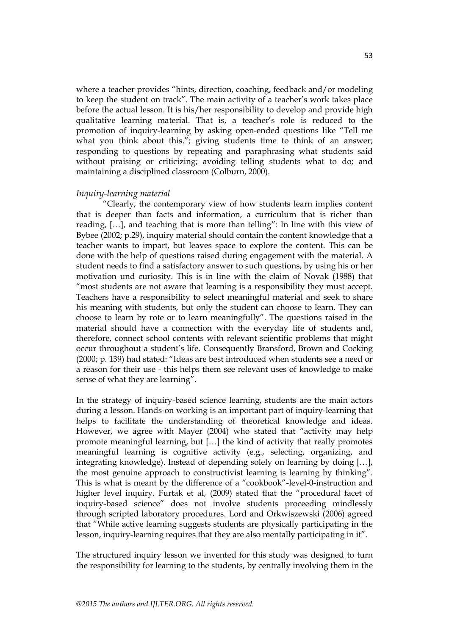where a teacher provides "hints, direction, coaching, feedback and/or modeling to keep the student on track‖. The main activity of a teacher's work takes place before the actual lesson. It is his/her responsibility to develop and provide high qualitative learning material. That is, a teacher's role is reduced to the promotion of inquiry-learning by asking open-ended questions like "Tell me what you think about this."; giving students time to think of an answer; responding to questions by repeating and paraphrasing what students said without praising or criticizing; avoiding telling students what to do; and maintaining a disciplined classroom (Colburn, 2000).

#### *Inquiry-learning material*

―Clearly, the contemporary view of how students learn implies content that is deeper than facts and information, a curriculum that is richer than reading, [...], and teaching that is more than telling": In line with this view of Bybee (2002; p.29), inquiry material should contain the content knowledge that a teacher wants to impart, but leaves space to explore the content. This can be done with the help of questions raised during engagement with the material. A student needs to find a satisfactory answer to such questions, by using his or her motivation und curiosity. This is in line with the claim of Novak (1988) that "most students are not aware that learning is a responsibility they must accept. Teachers have a responsibility to select meaningful material and seek to share his meaning with students, but only the student can choose to learn. They can choose to learn by rote or to learn meaningfully". The questions raised in the material should have a connection with the everyday life of students and, therefore, connect school contents with relevant scientific problems that might occur throughout a student's life. Consequently Bransford, Brown and Cocking (2000; p. 139) had stated: "Ideas are best introduced when students see a need or a reason for their use - this helps them see relevant uses of knowledge to make sense of what they are learning".

In the strategy of inquiry-based science learning, students are the main actors during a lesson. Hands-on working is an important part of inquiry-learning that helps to facilitate the understanding of theoretical knowledge and ideas. However, we agree with Mayer (2004) who stated that "activity may help promote meaningful learning, but […] the kind of activity that really promotes meaningful learning is cognitive activity (e.g., selecting, organizing, and integrating knowledge). Instead of depending solely on learning by doing […], the most genuine approach to constructivist learning is learning by thinking". This is what is meant by the difference of a "cookbook"-level-0-instruction and higher level inquiry. Furtak et al, (2009) stated that the "procedural facet of inquiry-based science" does not involve students proceeding mindlessly through scripted laboratory procedures. Lord and Orkwiszewski (2006) agreed that "While active learning suggests students are physically participating in the lesson, inquiry-learning requires that they are also mentally participating in it".

The structured inquiry lesson we invented for this study was designed to turn the responsibility for learning to the students, by centrally involving them in the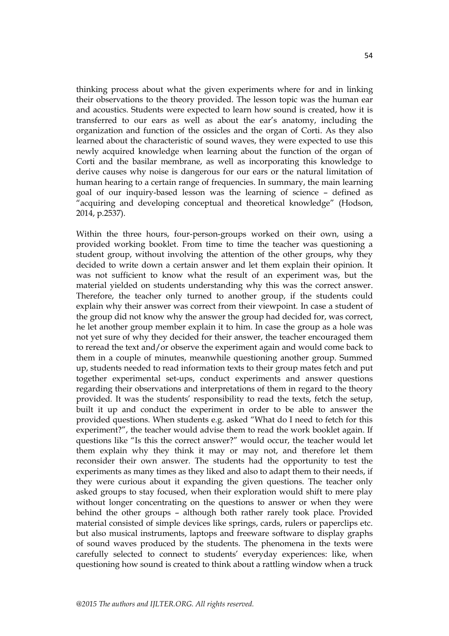thinking process about what the given experiments where for and in linking their observations to the theory provided. The lesson topic was the human ear and acoustics. Students were expected to learn how sound is created, how it is transferred to our ears as well as about the ear's anatomy, including the organization and function of the ossicles and the organ of Corti. As they also learned about the characteristic of sound waves, they were expected to use this newly acquired knowledge when learning about the function of the organ of Corti and the basilar membrane, as well as incorporating this knowledge to derive causes why noise is dangerous for our ears or the natural limitation of human hearing to a certain range of frequencies. In summary, the main learning goal of our inquiry-based lesson was the learning of science – defined as "acquiring and developing conceptual and theoretical knowledge" (Hodson, 2014, p.2537).

Within the three hours, four-person-groups worked on their own, using a provided working booklet. From time to time the teacher was questioning a student group, without involving the attention of the other groups, why they decided to write down a certain answer and let them explain their opinion. It was not sufficient to know what the result of an experiment was, but the material yielded on students understanding why this was the correct answer. Therefore, the teacher only turned to another group, if the students could explain why their answer was correct from their viewpoint. In case a student of the group did not know why the answer the group had decided for, was correct, he let another group member explain it to him. In case the group as a hole was not yet sure of why they decided for their answer, the teacher encouraged them to reread the text and/or observe the experiment again and would come back to them in a couple of minutes, meanwhile questioning another group. Summed up, students needed to read information texts to their group mates fetch and put together experimental set-ups, conduct experiments and answer questions regarding their observations and interpretations of them in regard to the theory provided. It was the students' responsibility to read the texts, fetch the setup, built it up and conduct the experiment in order to be able to answer the provided questions. When students e.g. asked "What do I need to fetch for this experiment?", the teacher would advise them to read the work booklet again. If questions like "Is this the correct answer?" would occur, the teacher would let them explain why they think it may or may not, and therefore let them reconsider their own answer. The students had the opportunity to test the experiments as many times as they liked and also to adapt them to their needs, if they were curious about it expanding the given questions. The teacher only asked groups to stay focused, when their exploration would shift to mere play without longer concentrating on the questions to answer or when they were behind the other groups – although both rather rarely took place. Provided material consisted of simple devices like springs, cards, rulers or paperclips etc. but also musical instruments, laptops and freeware software to display graphs of sound waves produced by the students. The phenomena in the texts were carefully selected to connect to students' everyday experiences: like, when questioning how sound is created to think about a rattling window when a truck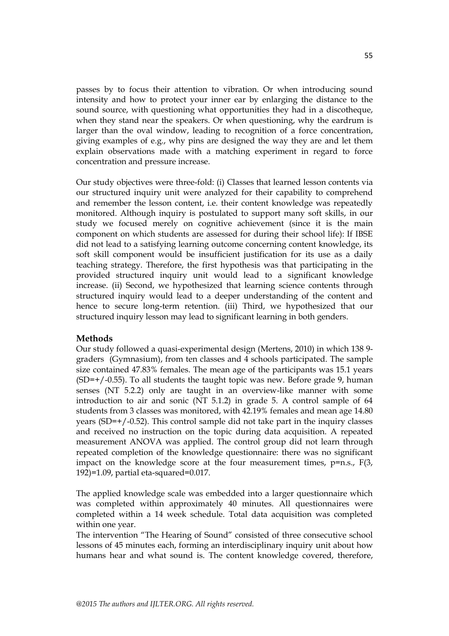passes by to focus their attention to vibration. Or when introducing sound intensity and how to protect your inner ear by enlarging the distance to the sound source, with questioning what opportunities they had in a discotheque, when they stand near the speakers. Or when questioning, why the eardrum is larger than the oval window, leading to recognition of a force concentration, giving examples of e.g., why pins are designed the way they are and let them explain observations made with a matching experiment in regard to force concentration and pressure increase.

Our study objectives were three-fold: (i) Classes that learned lesson contents via our structured inquiry unit were analyzed for their capability to comprehend and remember the lesson content, i.e. their content knowledge was repeatedly monitored. Although inquiry is postulated to support many soft skills, in our study we focused merely on cognitive achievement (since it is the main component on which students are assessed for during their school life): If IBSE did not lead to a satisfying learning outcome concerning content knowledge, its soft skill component would be insufficient justification for its use as a daily teaching strategy. Therefore, the first hypothesis was that participating in the provided structured inquiry unit would lead to a significant knowledge increase. (ii) Second, we hypothesized that learning science contents through structured inquiry would lead to a deeper understanding of the content and hence to secure long-term retention. (iii) Third, we hypothesized that our structured inquiry lesson may lead to significant learning in both genders.

## **Methods**

Our study followed a quasi-experimental design (Mertens, 2010) in which 138 9 graders (Gymnasium), from ten classes and 4 schools participated. The sample size contained 47.83% females. The mean age of the participants was 15.1 years  $(SD=+/0.55)$ . To all students the taught topic was new. Before grade 9, human senses (NT 5.2.2) only are taught in an overview-like manner with some introduction to air and sonic (NT 5.1.2) in grade 5. A control sample of 64 students from 3 classes was monitored, with 42.19% females and mean age 14.80 years (SD=+/-0.52). This control sample did not take part in the inquiry classes and received no instruction on the topic during data acquisition. A repeated measurement ANOVA was applied. The control group did not learn through repeated completion of the knowledge questionnaire: there was no significant impact on the knowledge score at the four measurement times,  $p=n.s., F(3,$ 192)=1.09, partial eta-squared=0.017.

The applied knowledge scale was embedded into a larger questionnaire which was completed within approximately 40 minutes. All questionnaires were completed within a 14 week schedule. Total data acquisition was completed within one year.

The intervention "The Hearing of Sound" consisted of three consecutive school lessons of 45 minutes each, forming an interdisciplinary inquiry unit about how humans hear and what sound is. The content knowledge covered, therefore,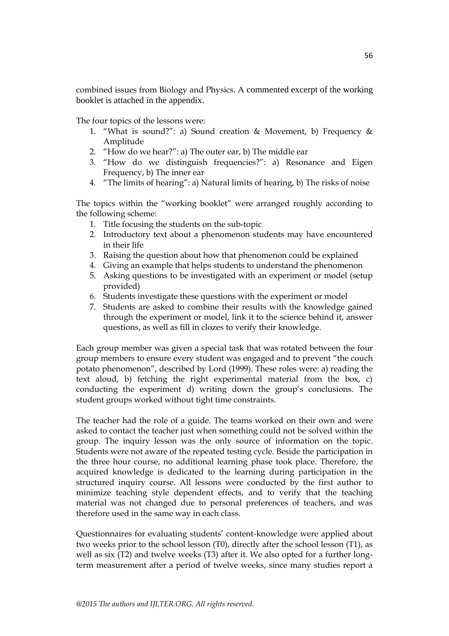combined issues from Biology and Physics. A commented excerpt of the working booklet is attached in the appendix.

The four topics of the lessons were:

- 1. "What is sound?": a) Sound creation & Movement, b) Frequency & Amplitude
- 2. "How do we hear?": a) The outer ear, b) The middle ear
- 3. "How do we distinguish frequencies?": a) Resonance and Eigen Frequency, b) The inner ear
- 4. "The limits of hearing": a) Natural limits of hearing, b) The risks of noise

The topics within the "working booklet" were arranged roughly according to the following scheme:

- 1. Title focusing the students on the sub-topic
- 2. Introductory text about a phenomenon students may have encountered in their life
- 3. Raising the question about how that phenomenon could be explained
- 4. Giving an example that helps students to understand the phenomenon
- 5. Asking questions to be investigated with an experiment or model (setup provided)
- 6. Students investigate these questions with the experiment or model
- 7. Students are asked to combine their results with the knowledge gained through the experiment or model, link it to the science behind it, answer questions, as well as fill in clozes to verify their knowledge.

Each group member was given a special task that was rotated between the four group members to ensure every student was engaged and to prevent "the couch potato phenomenon", described by Lord (1999). These roles were: a) reading the text aloud, b) fetching the right experimental material from the box, c) conducting the experiment d) writing down the group's conclusions. The student groups worked without tight time constraints.

The teacher had the role of a guide. The teams worked on their own and were asked to contact the teacher just when something could not be solved within the group. The inquiry lesson was the only source of information on the topic. Students were not aware of the repeated testing cycle. Beside the participation in the three hour course, no additional learning phase took place. Therefore, the acquired knowledge is dedicated to the learning during participation in the structured inquiry course. All lessons were conducted by the first author to minimize teaching style dependent effects, and to verify that the teaching material was not changed due to personal preferences of teachers, and was therefore used in the same way in each class.

Questionnaires for evaluating students' content-knowledge were applied about two weeks prior to the school lesson (T0), directly after the school lesson (T1), as well as six (T2) and twelve weeks (T3) after it. We also opted for a further longterm measurement after a period of twelve weeks, since many studies report a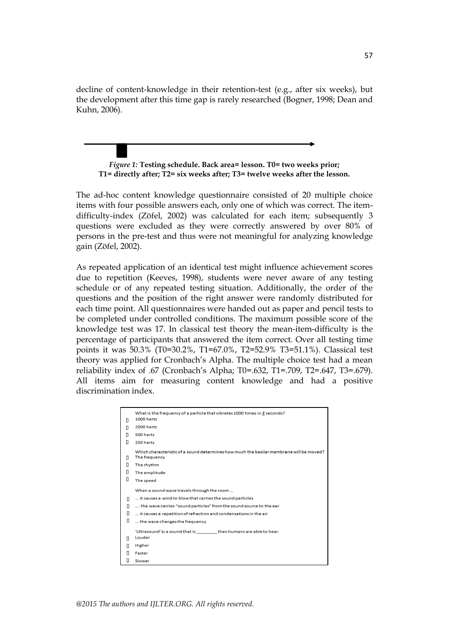decline of content-knowledge in their retention-test (e.g., after six weeks), but the development after this time gap is rarely researched (Bogner, 1998; Dean and Kuhn, 2006).

*Figure 1:* **Testing schedule. Back area= lesson. T0= two weeks prior; T1= directly after; T2= six weeks after; T3= twelve weeks after the lesson.**

The ad-hoc content knowledge questionnaire consisted of 20 multiple choice items with four possible answers each, only one of which was correct. The itemdifficulty-index (Zöfel, 2002) was calculated for each item; subsequently 3 questions were excluded as they were correctly answered by over 80% of persons in the pre-test and thus were not meaningful for analyzing knowledge gain (Zöfel, 2002).

As repeated application of an identical test might influence achievement scores due to repetition (Keeves, 1998), students were never aware of any testing schedule or of any repeated testing situation. Additionally, the order of the questions and the position of the right answer were randomly distributed for each time point. All questionnaires were handed out as paper and pencil tests to be completed under controlled conditions. The maximum possible score of the knowledge test was 17. In classical test theory the mean-item-difficulty is the percentage of participants that answered the item correct. Over all testing time points it was 50.3% (T0=30.2%, T1=67.0%, T2=52.9% T3=51.1%). Classical test theory was applied for Cronbach's Alpha. The multiple choice test had a mean reliability index of .67 (Cronbach's Alpha; T0=.632, T1=.709, T2=.647, T3=.679). All items aim for measuring content knowledge and had a positive discrimination index.

| п | What is the frequency of a particle that vibrates 1000 times in 2 seconds?<br><b>1000 hertz</b>          |
|---|----------------------------------------------------------------------------------------------------------|
| п | 2000 hertz                                                                                               |
| п | 500 hertz                                                                                                |
| П | 250 hertz                                                                                                |
| п | Which characteristic of a sound determines how much the basilar membrane will be moved?<br>The frequency |
| п | The rhythm                                                                                               |
| П | The amplitude                                                                                            |
| о | The speed                                                                                                |
|   | When a sound wave travels through the room                                                               |
| п | it causes a wind to blow that carries the sound particles                                                |
| п | the wave carries "sound particles" from the sound source to the ear                                      |
| о | it causes a repetition of refraction and condensations in the air                                        |
| 0 | the wave changes the frequency                                                                           |
|   | 'Ultrasound' is a sound that is entitled than humans are able to hear.                                   |
| п | Louder                                                                                                   |
|   | Higher                                                                                                   |
| п | Faster                                                                                                   |
| 0 | Slower                                                                                                   |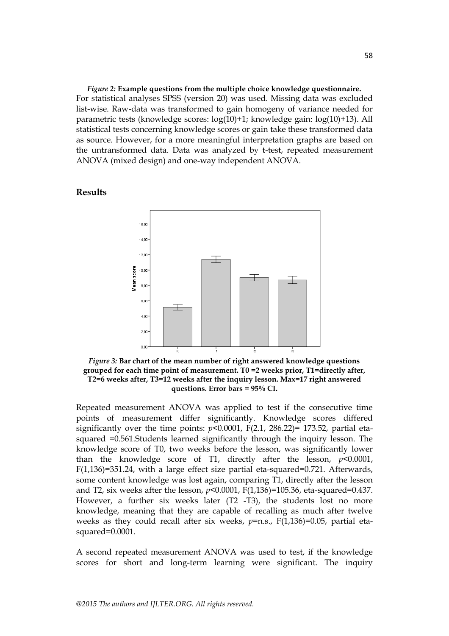*Figure 2:* **Example questions from the multiple choice knowledge questionnaire.** For statistical analyses SPSS (version 20) was used. Missing data was excluded list-wise. Raw-data was transformed to gain homogeny of variance needed for parametric tests (knowledge scores: log(10)+1; knowledge gain: log(10)+13). All statistical tests concerning knowledge scores or gain take these transformed data as source. However, for a more meaningful interpretation graphs are based on the untransformed data. Data was analyzed by t-test, repeated measurement ANOVA (mixed design) and one-way independent ANOVA.



**Results**

*Figure 3:* **Bar chart of the mean number of right answered knowledge questions grouped for each time point of measurement. T0 =2 weeks prior, T1=directly after, T2=6 weeks after, T3=12 weeks after the inquiry lesson. Max=17 right answered questions. Error bars = 95% CI.**

Repeated measurement ANOVA was applied to test if the consecutive time points of measurement differ significantly. Knowledge scores differed significantly over the time points:  $p<0.0001$ ,  $F(2.1, 286.22) = 173.52$ , partial etasquared =0.561.Students learned significantly through the inquiry lesson. The knowledge score of T0, two weeks before the lesson, was significantly lower than the knowledge score of T1, directly after the lesson, *p*<0.0001, F(1,136)=351.24, with a large effect size partial eta-squared=0.721. Afterwards, some content knowledge was lost again, comparing T1, directly after the lesson and T2, six weeks after the lesson, *p*<0.0001, F(1,136)=105.36, eta-squared=0.437. However, a further six weeks later (T2 -T3), the students lost no more knowledge, meaning that they are capable of recalling as much after twelve weeks as they could recall after six weeks,  $p=n.s., F(1,136)=0.05$ , partial etasquared=0.0001.

A second repeated measurement ANOVA was used to test, if the knowledge scores for short and long-term learning were significant. The inquiry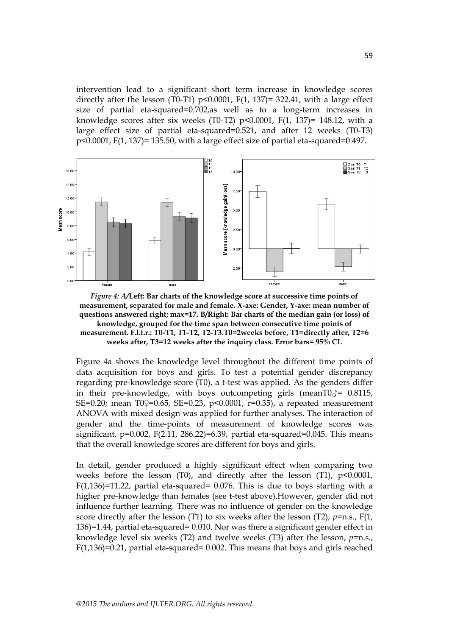intervention lead to a significant short term increase in knowledge scores directly after the lesson (T0-T1)  $p<0.0001$ ,  $F(1, 137)=322.41$ , with a large effect size of partial eta-squared=0.702,as well as to a long-term increases in knowledge scores after six weeks (T0-T2)  $p<0.0001$ , F(1, 137)= 148.12, with a large effect size of partial eta-squared=0.521, and after 12 weeks (T0-T3) p<0.0001, F(1, 137)= 135.50, with a large effect size of partial eta-squared=0.497.





Figure 4a shows the knowledge level throughout the different time points of data acquisition for boys and girls. To test a potential gender discrepancy regarding pre-knowledge score (T0), a t-test was applied. As the genders differ in their pre-knowledge, with boys outcompeting girls (meanT0 $\zeta$ = 0.8115, SE=0.20; mean T0?=0.65, SE=0.23, p<0.0001, r=0.35), a repeated measurement ANOVA with mixed design was applied for further analyses. The interaction of gender and the time-points of measurement of knowledge scores was significant,  $p=0.002$ ,  $F(2.11, 286.22)=6.39$ , partial eta-squared=0.045. This means that the overall knowledge scores are different for boys and girls.

In detail, gender produced a highly significant effect when comparing two weeks before the lesson (T0), and directly after the lesson (T1),  $p<0.0001$ ,  $F(1,136)=11.22$ , partial eta-squared= 0.076. This is due to boys starting with a higher pre-knowledge than females (see t-test above).However, gender did not influence further learning. There was no influence of gender on the knowledge score directly after the lesson (T1) to six weeks after the lesson (T2),  $p=n.s., F(1,$ 136)=1.44, partial eta-squared= 0.010. Nor was there a significant gender effect in knowledge level six weeks (T2) and twelve weeks (T3) after the lesson, *p*=n.s., F(1,136)=0.21, partial eta-squared= 0.002. This means that boys and girls reached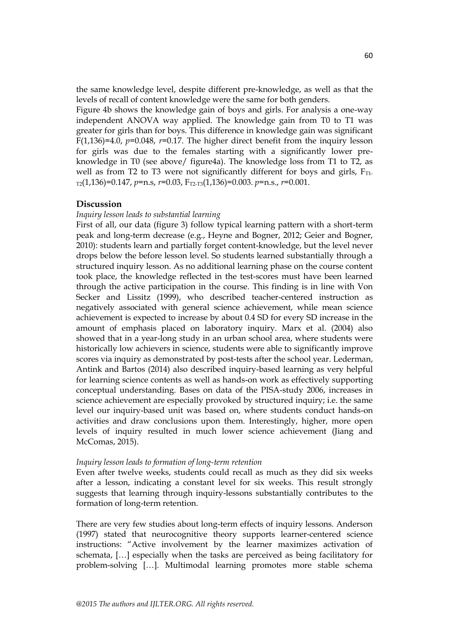the same knowledge level, despite different pre-knowledge, as well as that the levels of recall of content knowledge were the same for both genders.

Figure 4b shows the knowledge gain of boys and girls. For analysis a one-way independent ANOVA way applied. The knowledge gain from T0 to T1 was greater for girls than for boys. This difference in knowledge gain was significant  $F(1,136)=4.0$ ,  $p=0.048$ ,  $r=0.17$ . The higher direct benefit from the inquiry lesson for girls was due to the females starting with a significantly lower preknowledge in T0 (see above/ figure4a). The knowledge loss from T1 to T2, as well as from T2 to T3 were not significantly different for boys and girls,  $F_{T1}$ -T2(1,136)=0.147, *p*=n.s, *r*=0.03, FT2-T3(1,136)=0.003. *p*=n.s., *r*=0.001.

#### **Discussion**

## *Inquiry lesson leads to substantial learning*

First of all, our data (figure 3) follow typical learning pattern with a short-term peak and long-term decrease (e.g., Heyne and Bogner, 2012; Geier and Bogner, 2010): students learn and partially forget content-knowledge, but the level never drops below the before lesson level. So students learned substantially through a structured inquiry lesson. As no additional learning phase on the course content took place, the knowledge reflected in the test-scores must have been learned through the active participation in the course. This finding is in line with Von Secker and Lissitz (1999), who described teacher-centered instruction as negatively associated with general science achievement, while mean science achievement is expected to increase by about 0.4 SD for every SD increase in the amount of emphasis placed on laboratory inquiry. Marx et al. (2004) also showed that in a year-long study in an urban school area, where students were historically low achievers in science, students were able to significantly improve scores via inquiry as demonstrated by post-tests after the school year. Lederman, Antink and Bartos (2014) also described inquiry-based learning as very helpful for learning science contents as well as hands-on work as effectively supporting conceptual understanding. Bases on data of the PISA-study 2006, increases in science achievement are especially provoked by structured inquiry; i.e. the same level our inquiry-based unit was based on, where students conduct hands-on activities and draw conclusions upon them. Interestingly, higher, more open levels of inquiry resulted in much lower science achievement (Jiang and McComas, 2015).

#### *Inquiry lesson leads to formation of long-term retention*

Even after twelve weeks, students could recall as much as they did six weeks after a lesson, indicating a constant level for six weeks. This result strongly suggests that learning through inquiry-lessons substantially contributes to the formation of long-term retention.

There are very few studies about long-term effects of inquiry lessons. Anderson (1997) stated that neurocognitive theory supports learner-centered science instructions: "Active involvement by the learner maximizes activation of schemata, […] especially when the tasks are perceived as being facilitatory for problem-solving […]. Multimodal learning promotes more stable schema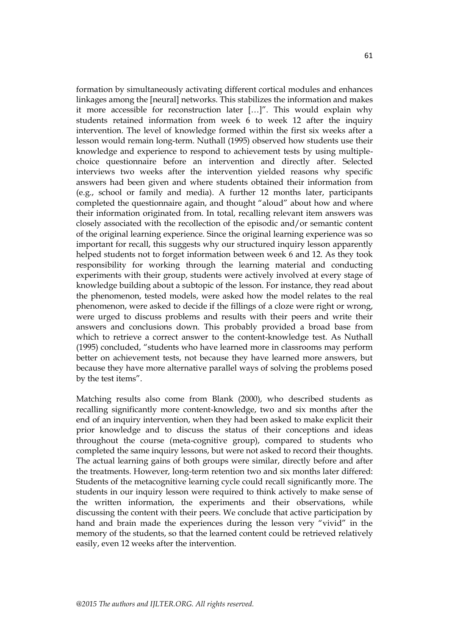formation by simultaneously activating different cortical modules and enhances linkages among the [neural] networks. This stabilizes the information and makes it more accessible for reconstruction later [...]". This would explain why students retained information from week 6 to week 12 after the inquiry intervention. The level of knowledge formed within the first six weeks after a lesson would remain long-term. Nuthall (1995) observed how students use their knowledge and experience to respond to achievement tests by using multiplechoice questionnaire before an intervention and directly after. Selected interviews two weeks after the intervention yielded reasons why specific answers had been given and where students obtained their information from (e.g., school or family and media). A further 12 months later, participants completed the questionnaire again, and thought "aloud" about how and where their information originated from. In total, recalling relevant item answers was closely associated with the recollection of the episodic and/or semantic content of the original learning experience. Since the original learning experience was so important for recall, this suggests why our structured inquiry lesson apparently helped students not to forget information between week 6 and 12. As they took responsibility for working through the learning material and conducting experiments with their group, students were actively involved at every stage of knowledge building about a subtopic of the lesson. For instance, they read about the phenomenon, tested models, were asked how the model relates to the real phenomenon, were asked to decide if the fillings of a cloze were right or wrong, were urged to discuss problems and results with their peers and write their answers and conclusions down. This probably provided a broad base from which to retrieve a correct answer to the content-knowledge test. As Nuthall (1995) concluded, "students who have learned more in classrooms may perform better on achievement tests, not because they have learned more answers, but because they have more alternative parallel ways of solving the problems posed by the test items".

Matching results also come from Blank (2000), who described students as recalling significantly more content-knowledge, two and six months after the end of an inquiry intervention, when they had been asked to make explicit their prior knowledge and to discuss the status of their conceptions and ideas throughout the course (meta-cognitive group), compared to students who completed the same inquiry lessons, but were not asked to record their thoughts. The actual learning gains of both groups were similar, directly before and after the treatments. However, long-term retention two and six months later differed: Students of the metacognitive learning cycle could recall significantly more. The students in our inquiry lesson were required to think actively to make sense of the written information, the experiments and their observations, while discussing the content with their peers. We conclude that active participation by hand and brain made the experiences during the lesson very "vivid" in the memory of the students, so that the learned content could be retrieved relatively easily, even 12 weeks after the intervention.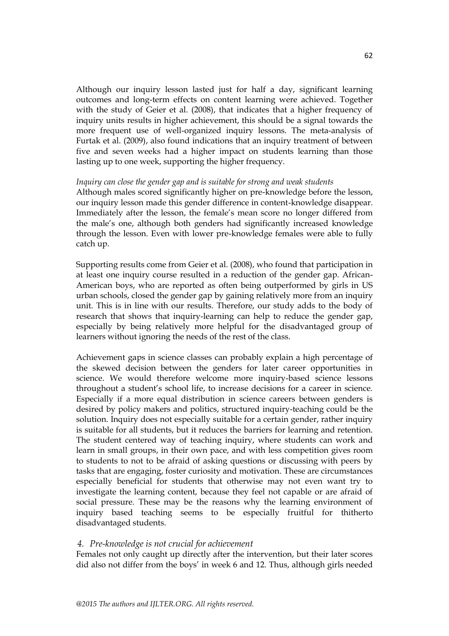Although our inquiry lesson lasted just for half a day, significant learning outcomes and long-term effects on content learning were achieved. Together with the study of Geier et al. (2008), that indicates that a higher frequency of inquiry units results in higher achievement, this should be a signal towards the more frequent use of well-organized inquiry lessons. The meta-analysis of Furtak et al. (2009), also found indications that an inquiry treatment of between five and seven weeks had a higher impact on students learning than those lasting up to one week, supporting the higher frequency.

#### *Inquiry can close the gender gap and is suitable for strong and weak students*

Although males scored significantly higher on pre-knowledge before the lesson, our inquiry lesson made this gender difference in content-knowledge disappear. Immediately after the lesson, the female's mean score no longer differed from the male's one, although both genders had significantly increased knowledge through the lesson. Even with lower pre-knowledge females were able to fully catch up.

Supporting results come from Geier et al. (2008), who found that participation in at least one inquiry course resulted in a reduction of the gender gap. African-American boys, who are reported as often being outperformed by girls in US urban schools, closed the gender gap by gaining relatively more from an inquiry unit. This is in line with our results. Therefore, our study adds to the body of research that shows that inquiry-learning can help to reduce the gender gap, especially by being relatively more helpful for the disadvantaged group of learners without ignoring the needs of the rest of the class.

Achievement gaps in science classes can probably explain a high percentage of the skewed decision between the genders for later career opportunities in science. We would therefore welcome more inquiry-based science lessons throughout a student's school life, to increase decisions for a career in science. Especially if a more equal distribution in science careers between genders is desired by policy makers and politics, structured inquiry-teaching could be the solution. Inquiry does not especially suitable for a certain gender, rather inquiry is suitable for all students, but it reduces the barriers for learning and retention. The student centered way of teaching inquiry, where students can work and learn in small groups, in their own pace, and with less competition gives room to students to not to be afraid of asking questions or discussing with peers by tasks that are engaging, foster curiosity and motivation. These are circumstances especially beneficial for students that otherwise may not even want try to investigate the learning content, because they feel not capable or are afraid of social pressure. These may be the reasons why the learning environment of inquiry based teaching seems to be especially fruitful for thitherto disadvantaged students.

## *4. Pre-knowledge is not crucial for achievement*

Females not only caught up directly after the intervention, but their later scores did also not differ from the boys' in week 6 and 12. Thus, although girls needed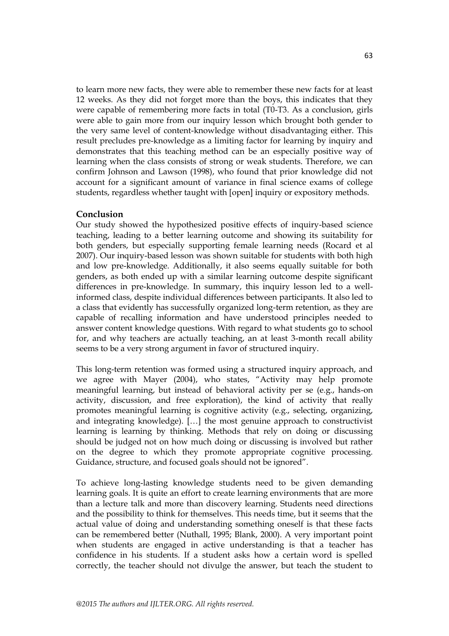to learn more new facts, they were able to remember these new facts for at least 12 weeks. As they did not forget more than the boys, this indicates that they were capable of remembering more facts in total (T0-T3. As a conclusion, girls were able to gain more from our inquiry lesson which brought both gender to the very same level of content-knowledge without disadvantaging either. This result precludes pre-knowledge as a limiting factor for learning by inquiry and demonstrates that this teaching method can be an especially positive way of learning when the class consists of strong or weak students. Therefore, we can confirm Johnson and Lawson (1998), who found that prior knowledge did not account for a significant amount of variance in final science exams of college students, regardless whether taught with [open] inquiry or expository methods.

# **Conclusion**

Our study showed the hypothesized positive effects of inquiry-based science teaching, leading to a better learning outcome and showing its suitability for both genders, but especially supporting female learning needs (Rocard et al 2007). Our inquiry-based lesson was shown suitable for students with both high and low pre-knowledge. Additionally, it also seems equally suitable for both genders, as both ended up with a similar learning outcome despite significant differences in pre-knowledge. In summary, this inquiry lesson led to a wellinformed class, despite individual differences between participants. It also led to a class that evidently has successfully organized long-term retention, as they are capable of recalling information and have understood principles needed to answer content knowledge questions. With regard to what students go to school for, and why teachers are actually teaching, an at least 3-month recall ability seems to be a very strong argument in favor of structured inquiry.

This long-term retention was formed using a structured inquiry approach, and we agree with Mayer (2004), who states, "Activity may help promote meaningful learning, but instead of behavioral activity per se (e.g., hands-on activity, discussion, and free exploration), the kind of activity that really promotes meaningful learning is cognitive activity (e.g., selecting, organizing, and integrating knowledge). […] the most genuine approach to constructivist learning is learning by thinking. Methods that rely on doing or discussing should be judged not on how much doing or discussing is involved but rather on the degree to which they promote appropriate cognitive processing. Guidance, structure, and focused goals should not be ignored".

To achieve long-lasting knowledge students need to be given demanding learning goals. It is quite an effort to create learning environments that are more than a lecture talk and more than discovery learning. Students need directions and the possibility to think for themselves. This needs time, but it seems that the actual value of doing and understanding something oneself is that these facts can be remembered better (Nuthall, 1995; Blank, 2000). A very important point when students are engaged in active understanding is that a teacher has confidence in his students. If a student asks how a certain word is spelled correctly, the teacher should not divulge the answer, but teach the student to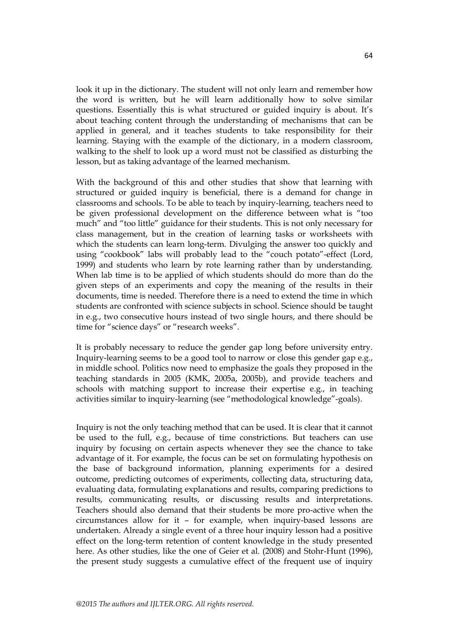look it up in the dictionary. The student will not only learn and remember how the word is written, but he will learn additionally how to solve similar questions. Essentially this is what structured or guided inquiry is about. It's about teaching content through the understanding of mechanisms that can be applied in general, and it teaches students to take responsibility for their learning. Staying with the example of the dictionary, in a modern classroom, walking to the shelf to look up a word must not be classified as disturbing the lesson, but as taking advantage of the learned mechanism.

With the background of this and other studies that show that learning with structured or guided inquiry is beneficial, there is a demand for change in classrooms and schools. To be able to teach by inquiry-learning, teachers need to be given professional development on the difference between what is "too much" and "too little" guidance for their students. This is not only necessary for class management, but in the creation of learning tasks or worksheets with which the students can learn long-term. Divulging the answer too quickly and using "cookbook" labs will probably lead to the "couch potato"-effect (Lord, 1999) and students who learn by rote learning rather than by understanding. When lab time is to be applied of which students should do more than do the given steps of an experiments and copy the meaning of the results in their documents, time is needed. Therefore there is a need to extend the time in which students are confronted with science subjects in school. Science should be taught in e.g., two consecutive hours instead of two single hours, and there should be time for "science days" or "research weeks".

It is probably necessary to reduce the gender gap long before university entry. Inquiry-learning seems to be a good tool to narrow or close this gender gap e.g., in middle school. Politics now need to emphasize the goals they proposed in the teaching standards in 2005 (KMK, 2005a, 2005b), and provide teachers and schools with matching support to increase their expertise e.g., in teaching activities similar to inquiry-learning (see "methodological knowledge"-goals).

Inquiry is not the only teaching method that can be used. It is clear that it cannot be used to the full, e.g., because of time constrictions. But teachers can use inquiry by focusing on certain aspects whenever they see the chance to take advantage of it. For example, the focus can be set on formulating hypothesis on the base of background information, planning experiments for a desired outcome, predicting outcomes of experiments, collecting data, structuring data, evaluating data, formulating explanations and results, comparing predictions to results, communicating results, or discussing results and interpretations. Teachers should also demand that their students be more pro-active when the circumstances allow for it – for example, when inquiry-based lessons are undertaken. Already a single event of a three hour inquiry lesson had a positive effect on the long-term retention of content knowledge in the study presented here. As other studies, like the one of Geier et al. (2008) and Stohr-Hunt (1996), the present study suggests a cumulative effect of the frequent use of inquiry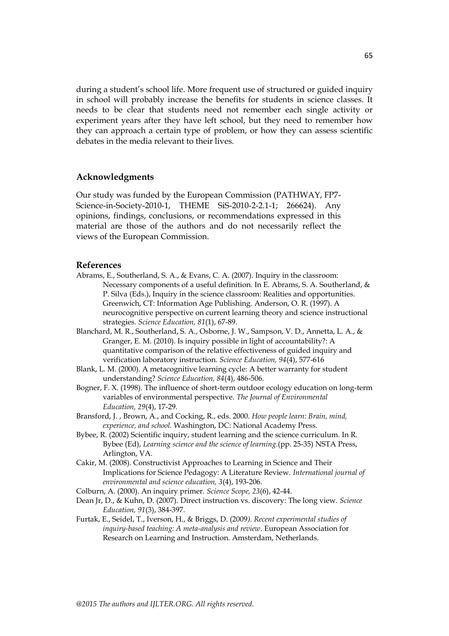during a student's school life. More frequent use of structured or guided inquiry in school will probably increase the benefits for students in science classes. It needs to be clear that students need not remember each single activity or experiment years after they have left school, but they need to remember how they can approach a certain type of problem, or how they can assess scientific debates in the media relevant to their lives.

## **Acknowledgments**

Our study was funded by the European Commission (PATHWAY, FP7- Science-in-Society-2010-1, THEME SiS-2010-2-2.1-1; 266624). Any opinions, findings, conclusions, or recommendations expressed in this material are those of the authors and do not necessarily reflect the views of the European Commission.

#### **References**

- Abrams, E., Southerland, S. A., & Evans, C. A. (2007). Inquiry in the classroom: Necessary components of a useful definition. In E. Abrams, S. A. Southerland, & P. Silva (Eds.), Inquiry in the science classroom: Realities and opportunities. Greenwich, CT: Information Age Publishing. Anderson, O. R. (1997). A neurocognitive perspective on current learning theory and science instructional strategies. *Science Education, 81*(1), 67-89.
- Blanchard, M. R., Southerland, S. A., Osborne, J. W., Sampson, V. D., Annetta, L. A., & Granger, E. M. (2010). Is inquiry possible in light of accountability?: A quantitative comparison of the relative effectiveness of guided inquiry and verification laboratory instruction. *Science Education, 94*(4), 577-616
- Blank, L. M. (2000). A metacognitive learning cycle: A better warranty for student understanding? *Science Education, 84*(4), 486-506.
- Bogner, F. X. (1998). The influence of short-term outdoor ecology education on long-term variables of environmental perspective. *The Journal of Environmental Education, 29*(4), 17-29.
- Bransford, J. , Brown, A., and Cocking, R., eds. 2000. *How people learn: Brain, mind, experience, and school.* Washington, DC: National Academy Press.
- Bybee, R. (2002) Scientific inquiry, student learning and the science curriculum. In R. Bybee (Ed), *Learning science and the science of learning*.(pp. 25-35) NSTA Press, Arlington, VA.
- Cakir, M. (2008). Constructivist Approaches to Learning in Science and Their Implications for Science Pedagogy: A Literature Review. *International journal of environmental and science education, 3*(4), 193-206.
- Colburn, A. (2000). An inquiry primer. *Science Scope, 23*(6), 42-44.
- Dean Jr, D., & Kuhn, D. (2007). Direct instruction vs. discovery: The long view. *Science Education, 91*(3), 384-397.
- Furtak, E., Seidel, T., Iverson, H., & Briggs, D. (2009*). Recent experimental studies of inquiry-based teaching: A meta-analysis and review.* European Association for Research on Learning and Instruction. Amsterdam, Netherlands.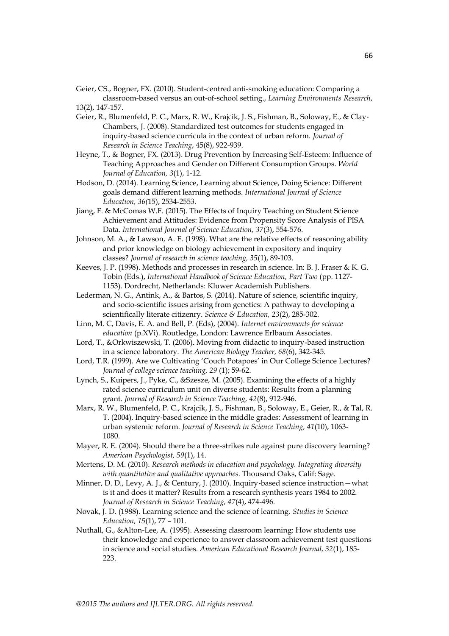Geier, CS., Bogner, FX. (2010). Student-centred anti-smoking education: Comparing a classroom-based versus an out-of-school setting., *Learning Environments Research*, 13(2), 147-157.

- Geier, R., Blumenfeld, P. C., Marx, R. W., Krajcik, J. S., Fishman, B., Soloway, E., & Clay‐ Chambers, J. (2008). Standardized test outcomes for students engaged in inquiry‐based science curricula in the context of urban reform. *Journal of Research in Science Teaching*, 45(8), 922-939.
- Heyne, T., & Bogner, FX. (2013). Drug Prevention by Increasing Self-Esteem: Influence of Teaching Approaches and Gender on Different Consumption Groups. *World Journal of Education, 3*(1), 1-12.
- Hodson, D. (2014). Learning Science, Learning about Science, Doing Science: Different goals demand different learning methods. *International Journal of Science Education, 36(*15), 2534-2553.
- Jiang, F. & McComas W.F. (2015). The Effects of Inquiry Teaching on Student Science Achievement and Attitudes: Evidence from Propensity Score Analysis of PISA Data. *International Journal of Science Education, 37*(3), 554-576.
- Johnson, M. A., & Lawson, A. E. (1998). What are the relative effects of reasoning ability and prior knowledge on biology achievement in expository and inquiry classes? *Journal of research in science teaching, 35*(1), 89-103.
- Keeves, J. P. (1998). Methods and processes in research in science. In: B. J. Fraser & K. G. Tobin (Eds.), *International Handbook of Science Education, Part Two* (pp. 1127- 1153). Dordrecht, Netherlands: Kluwer Academish Publishers.
- Lederman, N. G., Antink, A., & Bartos, S. (2014). Nature of science, scientific inquiry, and socio-scientific issues arising from genetics: A pathway to developing a scientifically literate citizenry. *Science & Education, 23*(2), 285-302.
- Linn, M. C, Davis, E. A. and Bell, P. (Eds), (2004). *Internet environments for science education* (p.XVi). Routledge, London: Lawrence Erlbaum Associates.
- Lord, T., &Orkwiszewski, T. (2006). Moving from didactic to inquiry-based instruction in a science laboratory. *The American Biology Teacher, 68*(6), 342-345.
- Lord, T.R. (1999). Are we Cultivating 'Couch Potapoes' in Our College Science Lectures? *Journal of college science teaching, 29* (1); 59-62.
- Lynch, S., Kuipers, J., Pyke, C., &Szesze, M. (2005). Examining the effects of a highly rated science curriculum unit on diverse students: Results from a planning grant. *Journal of Research in Science Teaching, 42*(8), 912-946.
- Marx, R. W., Blumenfeld, P. C., Krajcik, J. S., Fishman, B., Soloway, E., Geier, R., & Tal, R. T. (2004). Inquiry‐based science in the middle grades: Assessment of learning in urban systemic reform. *Journal of Research in Science Teaching, 41*(10), 1063- 1080.
- Mayer, R. E. (2004). Should there be a three-strikes rule against pure discovery learning? *American Psychologist, 59*(1), 14.
- Mertens, D. M. (2010). *Research methods in education and psychology. Integrating diversity with quantitative and qualitative approaches*. Thousand Oaks, Calif: Sage.
- Minner, D. D., Levy, A. J., & Century, J. (2010). Inquiry-based science instruction what is it and does it matter? Results from a research synthesis years 1984 to 2002. *Journal of Research in Science Teaching, 47*(4), 474-496.
- Novak, J. D. (1988). Learning science and the science of learning. *Studies in Science Education, 15*(1), 77 – 101.
- Nuthall, G., &Alton-Lee, A. (1995). Assessing classroom learning: How students use their knowledge and experience to answer classroom achievement test questions in science and social studies. *American Educational Research Journal, 32*(1), 185- 223.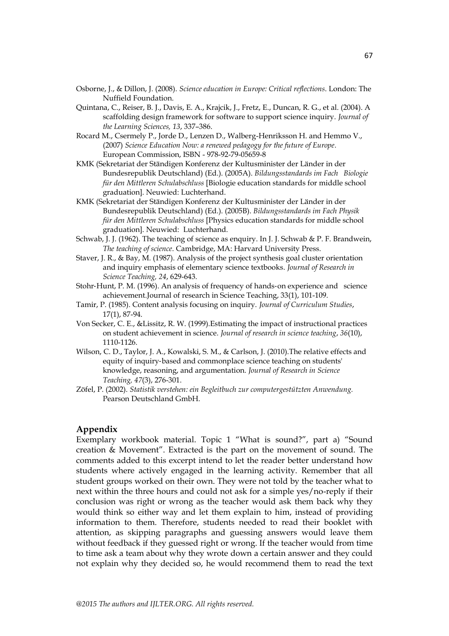- Osborne, J., & Dillon, J. (2008). *Science education in Europe: Critical reflections*. London: The Nuffield Foundation.
- Quintana, C., Reiser, B. J., Davis, E. A., Krajcik, J., Fretz, E., Duncan, R. G., et al. (2004). A scaffolding design framework for software to support science inquiry. *Journal of the Learning Sciences, 13*, 337–386.
- Rocard M., Csermely P., Jorde D., Lenzen D., Walberg-Henriksson H. and Hemmo V., (2007) *Science Education Now: a renewed pedagogy for the future of Europe.* European Commission, ISBN - 978-92-79-05659-8
- KMK (Sekretariat der Ständigen Konferenz der Kultusminister der Länder in der Bundesrepublik Deutschland) (Ed.). (2005A). *Bildungsstandards im Fach Biologie für den Mittleren Schulabschluss* [Biologie education standards for middle school graduation]. Neuwied: Luchterhand.
- KMK (Sekretariat der Ständigen Konferenz der Kultusminister der Länder in der Bundesrepublik Deutschland) (Ed.). (2005B). *Bildungsstandards im Fach Physik für den Mittleren Schulabschluss* [Physics education standards for middle school graduation]. Neuwied: Luchterhand.
- Schwab, J. J. (1962). The teaching of science as enquiry. In J. J. Schwab & P. F. Brandwein, *The teaching of science*. Cambridge, MA: Harvard University Press.
- Staver, J. R., & Bay, M. (1987). Analysis of the project synthesis goal cluster orientation and inquiry emphasis of elementary science textbooks. *Journal of Research in Science Teaching, 24*, 629-643.
- Stohr‐Hunt, P. M. (1996). An analysis of frequency of hands‐on experience and science achievement.Journal of research in Science Teaching, 33(1), 101-109.
- Tamir, P. (1985). Content analysis focusing on inquiry. *Journal of Curriculum Studies*, 17(1), 87-94.
- Von Secker, C. E., &Lissitz, R. W. (1999).Estimating the impact of instructional practices on student achievement in science. *Journal of research in science teaching*, *36*(10), 1110-1126.
- Wilson, C. D., Taylor, J. A., Kowalski, S. M., & Carlson, J. (2010).The relative effects and equity of inquiry‐based and commonplace science teaching on students' knowledge, reasoning, and argumentation. *Journal of Research in Science Teaching, 47*(3), 276-301.
- Zöfel, P. (2002). *Statistik verstehen: ein Begleitbuch zur computergestützten Anwendung.* Pearson Deutschland GmbH.

# **Appendix**

Exemplary workbook material. Topic 1 "What is sound?", part a) "Sound creation & Movement". Extracted is the part on the movement of sound. The comments added to this excerpt intend to let the reader better understand how students where actively engaged in the learning activity. Remember that all student groups worked on their own. They were not told by the teacher what to next within the three hours and could not ask for a simple yes/no-reply if their conclusion was right or wrong as the teacher would ask them back why they would think so either way and let them explain to him, instead of providing information to them. Therefore, students needed to read their booklet with attention, as skipping paragraphs and guessing answers would leave them without feedback if they guessed right or wrong. If the teacher would from time to time ask a team about why they wrote down a certain answer and they could not explain why they decided so, he would recommend them to read the text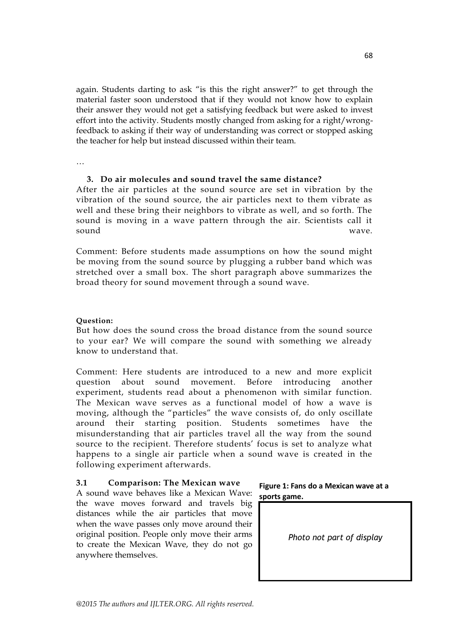again. Students darting to ask "is this the right answer?" to get through the material faster soon understood that if they would not know how to explain their answer they would not get a satisfying feedback but were asked to invest effort into the activity. Students mostly changed from asking for a right/wrongfeedback to asking if their way of understanding was correct or stopped asking the teacher for help but instead discussed within their team.

…

## **3. Do air molecules and sound travel the same distance?**

After the air particles at the sound source are set in vibration by the vibration of the sound source, the air particles next to them vibrate as well and these bring their neighbors to vibrate as well, and so forth. The sound is moving in a wave pattern through the air. Scientists call it sound wave.

Comment: Before students made assumptions on how the sound might be moving from the sound source by plugging a rubber band which was stretched over a small box. The short paragraph above summarizes the broad theory for sound movement through a sound wave.

## **Question:**

But how does the sound cross the broad distance from the sound source to your ear? We will compare the sound with something we already know to understand that.

Comment: Here students are introduced to a new and more explicit question about sound movement. Before introducing another experiment, students read about a phenomenon with similar function. The Mexican wave serves as a functional model of how a wave is moving, although the "particles" the wave consists of, do only oscillate around their starting position. Students sometimes have the misunderstanding that air particles travel all the way from the sound source to the recipient. Therefore students' focus is set to analyze what happens to a single air particle when a sound wave is created in the following experiment afterwards.

# **3.1 Comparison: The Mexican wave**

A sound wave behaves like a Mexican Wave: the wave moves forward and travels big distances while the air particles that move when the wave passes only move around their original position. People only move their arms to create the Mexican Wave, they do not go anywhere themselves.



*Photo not part of display*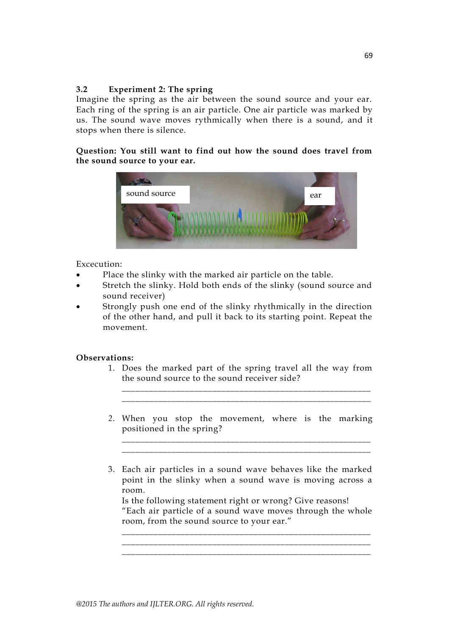# **3.2 Experiment 2: The spring**

Imagine the spring as the air between the sound source and your ear. Each ring of the spring is an air particle. One air particle was marked by us. The sound wave moves rythmically when there is a sound, and it stops when there is silence.

**Question: You still want to find out how the sound does travel from the sound source to your ear.**



## Excecution:

- Place the slinky with the marked air particle on the table.
- Stretch the slinky. Hold both ends of the slinky (sound source and sound receiver)
- Strongly push one end of the slinky rhythmically in the direction of the other hand, and pull it back to its starting point. Repeat the movement.

## **Observations:**

1. Does the marked part of the spring travel all the way from the sound source to the sound receiver side?

*\_\_\_\_\_\_\_\_\_\_\_\_\_\_\_\_\_\_\_\_\_\_\_\_\_\_\_\_\_\_\_\_\_\_\_\_\_\_\_\_\_\_\_\_\_\_\_\_\_\_\_\_\_\_\_ \_\_\_\_\_\_\_\_\_\_\_\_\_\_\_\_\_\_\_\_\_\_\_\_\_\_\_\_\_\_\_\_\_\_\_\_\_\_\_\_\_\_\_\_\_\_\_\_\_\_\_\_\_\_\_*

*2.* When you stop the movement, where is the marking positioned in the spring?

*\_\_\_\_\_\_\_\_\_\_\_\_\_\_\_\_\_\_\_\_\_\_\_\_\_\_\_\_\_\_\_\_\_\_\_\_\_\_\_\_\_\_\_\_\_\_\_\_\_\_\_\_\_\_\_ \_\_\_\_\_\_\_\_\_\_\_\_\_\_\_\_\_\_\_\_\_\_\_\_\_\_\_\_\_\_\_\_\_\_\_\_\_\_\_\_\_\_\_\_\_\_\_\_\_\_\_\_\_\_\_*

3. Each air particles in a sound wave behaves like the marked point in the slinky when a sound wave is moving across a room.

Is the following statement right or wrong? Give reasons! ―Each air particle of a sound wave moves through the whole room, from the sound source to your ear."

*\_\_\_\_\_\_\_\_\_\_\_\_\_\_\_\_\_\_\_\_\_\_\_\_\_\_\_\_\_\_\_\_\_\_\_\_\_\_\_\_\_\_\_\_\_\_\_\_\_\_\_\_\_\_\_ \_\_\_\_\_\_\_\_\_\_\_\_\_\_\_\_\_\_\_\_\_\_\_\_\_\_\_\_\_\_\_\_\_\_\_\_\_\_\_\_\_\_\_\_\_\_\_\_\_\_\_\_\_\_\_ \_\_\_\_\_\_\_\_\_\_\_\_\_\_\_\_\_\_\_\_\_\_\_\_\_\_\_\_\_\_\_\_\_\_\_\_\_\_\_\_\_\_\_\_\_\_\_\_\_\_\_\_\_\_\_*